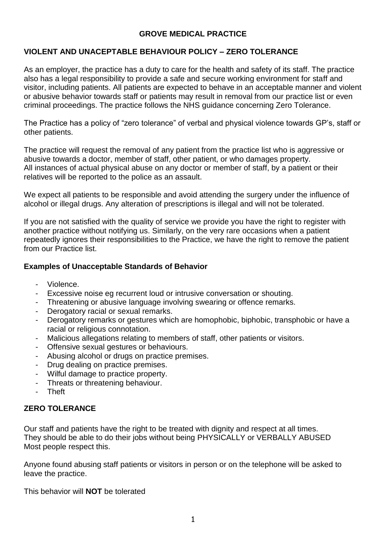### **GROVE MEDICAL PRACTICE**

## **VIOLENT AND UNACEPTABLE BEHAVIOUR POLICY – ZERO TOLERANCE**

As an employer, the practice has a duty to care for the health and safety of its staff. The practice also has a legal responsibility to provide a safe and secure working environment for staff and visitor, including patients. All patients are expected to behave in an acceptable manner and violent or abusive behavior towards staff or patients may result in removal from our practice list or even criminal proceedings. The practice follows the NHS guidance concerning Zero Tolerance.

The Practice has a policy of "zero tolerance" of verbal and physical violence towards GP's, staff or other patients.

The practice will request the removal of any patient from the practice list who is aggressive or abusive towards a doctor, member of staff, other patient, or who damages property. All instances of actual physical abuse on any doctor or member of staff, by a patient or their relatives will be reported to the police as an assault.

We expect all patients to be responsible and avoid attending the surgery under the influence of alcohol or illegal drugs. Any alteration of prescriptions is illegal and will not be tolerated.

If you are not satisfied with the quality of service we provide you have the right to register with another practice without notifying us. Similarly, on the very rare occasions when a patient repeatedly ignores their responsibilities to the Practice, we have the right to remove the patient from our Practice list.

### **Examples of Unacceptable Standards of Behavior**

- Violence.
- Excessive noise eg recurrent loud or intrusive conversation or shouting.
- Threatening or abusive language involving swearing or offence remarks.
- Derogatory racial or sexual remarks.
- Derogatory remarks or gestures which are homophobic, biphobic, transphobic or have a racial or religious connotation.
- Malicious allegations relating to members of staff, other patients or visitors.
- Offensive sexual gestures or behaviours.
- Abusing alcohol or drugs on practice premises.
- Drug dealing on practice premises.
- Wilful damage to practice property.
- Threats or threatening behaviour.
- Theft

# **ZERO TOLERANCE**

Our staff and patients have the right to be treated with dignity and respect at all times. They should be able to do their jobs without being PHYSICALLY or VERBALLY ABUSED Most people respect this.

Anyone found abusing staff patients or visitors in person or on the telephone will be asked to leave the practice.

This behavior will **NOT** be tolerated